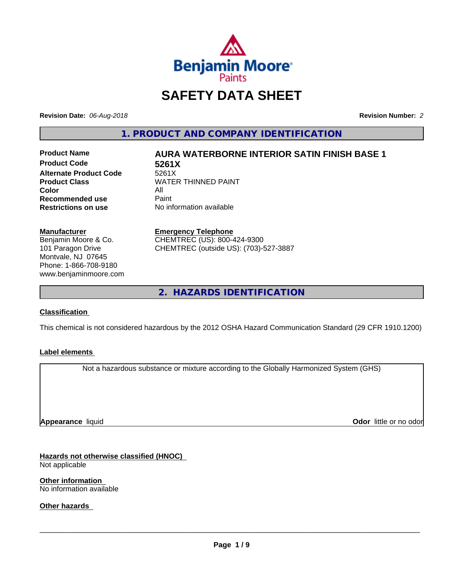

# **SAFETY DATA SHEET**

**Revision Date:** *06-Aug-2018* **Revision Number:** *2*

**1. PRODUCT AND COMPANY IDENTIFICATION**

**Product Code 5261X Alternate Product Code** 5261X<br> **Product Class** WATEI **Color** All All<br>**Recommended use** Paint **Recommended use**<br>Restrictions on use

# **Product Name AURA WATERBORNE INTERIOR SATIN FINISH BASE 1**

**WATER THINNED PAINT Restrictions on use** No information available

**Manufacturer**

Benjamin Moore & Co. 101 Paragon Drive Montvale, NJ 07645 Phone: 1-866-708-9180 www.benjaminmoore.com **Emergency Telephone**

CHEMTREC (US): 800-424-9300 CHEMTREC (outside US): (703)-527-3887

**2. HAZARDS IDENTIFICATION**

# **Classification**

This chemical is not considered hazardous by the 2012 OSHA Hazard Communication Standard (29 CFR 1910.1200)

# **Label elements**

Not a hazardous substance or mixture according to the Globally Harmonized System (GHS)

**Appearance** liquid

**Odor** little or no odor

**Hazards not otherwise classified (HNOC)** Not applicable

**Other information** No information available

**Other hazards**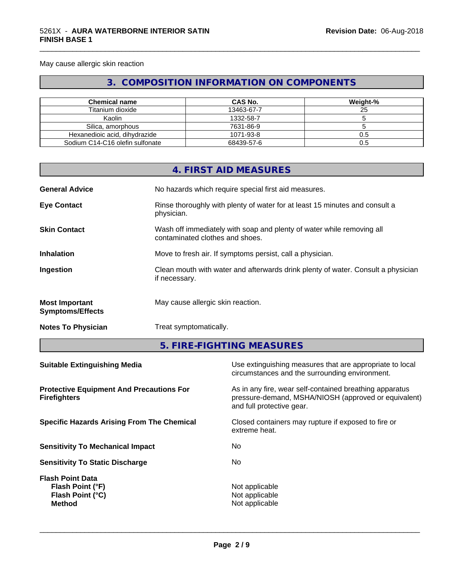May cause allergic skin reaction

# **3. COMPOSITION INFORMATION ON COMPONENTS**

\_\_\_\_\_\_\_\_\_\_\_\_\_\_\_\_\_\_\_\_\_\_\_\_\_\_\_\_\_\_\_\_\_\_\_\_\_\_\_\_\_\_\_\_\_\_\_\_\_\_\_\_\_\_\_\_\_\_\_\_\_\_\_\_\_\_\_\_\_\_\_\_\_\_\_\_\_\_\_\_\_\_\_\_\_\_\_\_\_\_\_\_\_

| <b>Chemical name</b>            | CAS No.    | Weight-% |
|---------------------------------|------------|----------|
| Titanium dioxide                | 13463-67-7 | 25       |
| Kaolin                          | 1332-58-7  |          |
| Silica, amorphous               | 7631-86-9  |          |
| Hexanedioic acid, dihydrazide   | 1071-93-8  | 0.5      |
| Sodium C14-C16 olefin sulfonate | 68439-57-6 | 0.5      |

|                                                  | 4. FIRST AID MEASURES                                                                                    |
|--------------------------------------------------|----------------------------------------------------------------------------------------------------------|
| <b>General Advice</b>                            | No hazards which require special first aid measures.                                                     |
| <b>Eye Contact</b>                               | Rinse thoroughly with plenty of water for at least 15 minutes and consult a<br>physician.                |
| <b>Skin Contact</b>                              | Wash off immediately with soap and plenty of water while removing all<br>contaminated clothes and shoes. |
| <b>Inhalation</b>                                | Move to fresh air. If symptoms persist, call a physician.                                                |
| Ingestion                                        | Clean mouth with water and afterwards drink plenty of water. Consult a physician<br>if necessary.        |
| <b>Most Important</b><br><b>Symptoms/Effects</b> | May cause allergic skin reaction.                                                                        |
| <b>Notes To Physician</b>                        | Treat symptomatically.                                                                                   |
|                                                  |                                                                                                          |

**5. FIRE-FIGHTING MEASURES**

| Use extinguishing measures that are appropriate to local<br>circumstances and the surrounding environment.                                   |
|----------------------------------------------------------------------------------------------------------------------------------------------|
| As in any fire, wear self-contained breathing apparatus<br>pressure-demand, MSHA/NIOSH (approved or equivalent)<br>and full protective gear. |
| Closed containers may rupture if exposed to fire or<br>extreme heat.                                                                         |
| No.                                                                                                                                          |
| No.                                                                                                                                          |
| Not applicable<br>Not applicable<br>Not applicable                                                                                           |
|                                                                                                                                              |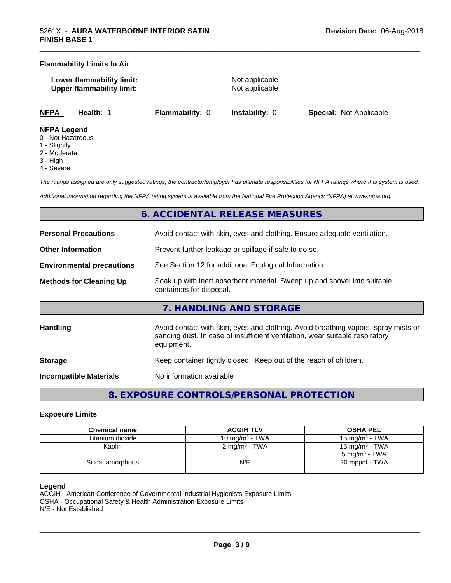## **Flammability Limits In Air**

**Lower flammability limit:** Not applicable **Upper flammability limit:** Not applicable

\_\_\_\_\_\_\_\_\_\_\_\_\_\_\_\_\_\_\_\_\_\_\_\_\_\_\_\_\_\_\_\_\_\_\_\_\_\_\_\_\_\_\_\_\_\_\_\_\_\_\_\_\_\_\_\_\_\_\_\_\_\_\_\_\_\_\_\_\_\_\_\_\_\_\_\_\_\_\_\_\_\_\_\_\_\_\_\_\_\_\_\_\_

**NFPA Health:** 1 **Flammability:** 0 **Instability:** 0 **Special:** Not Applicable

### **NFPA Legend**

- 0 Not Hazardous
- 1 Slightly
- 2 Moderate
- 3 High
- 4 Severe

*The ratings assigned are only suggested ratings, the contractor/employer has ultimate responsibilities for NFPA ratings where this system is used.*

*Additional information regarding the NFPA rating system is available from the National Fire Protection Agency (NFPA) at www.nfpa.org.*

# **6. ACCIDENTAL RELEASE MEASURES**

| <b>Personal Precautions</b>      | Avoid contact with skin, eyes and clothing. Ensure adequate ventilation.                                                                                                         |  |
|----------------------------------|----------------------------------------------------------------------------------------------------------------------------------------------------------------------------------|--|
| <b>Other Information</b>         | Prevent further leakage or spillage if safe to do so.                                                                                                                            |  |
| <b>Environmental precautions</b> | See Section 12 for additional Ecological Information.                                                                                                                            |  |
| <b>Methods for Cleaning Up</b>   | Soak up with inert absorbent material. Sweep up and shovel into suitable<br>containers for disposal.                                                                             |  |
|                                  | 7. HANDLING AND STORAGE                                                                                                                                                          |  |
| <b>Handling</b>                  | Avoid contact with skin, eyes and clothing. Avoid breathing vapors, spray mists or<br>sanding dust. In case of insufficient ventilation, wear suitable respiratory<br>equipment. |  |
| <b>Storage</b>                   | Keep container tightly closed. Keep out of the reach of children.                                                                                                                |  |
|                                  |                                                                                                                                                                                  |  |

**Incompatible Materials** No information available

**8. EXPOSURE CONTROLS/PERSONAL PROTECTION**

# **Exposure Limits**

| <b>Chemical name</b> | <b>ACGIH TLV</b>         | <b>OSHA PEL</b>                                        |
|----------------------|--------------------------|--------------------------------------------------------|
| Titanium dioxide     | 10 mg/m $3$ - TWA        | 15 mg/m $3$ - TWA                                      |
| Kaolin               | $2 \text{ mg/m}^3$ - TWA | 15 mg/m <sup>3</sup> - TWA<br>$5 \text{ mg/m}^3$ - TWA |
| Silica, amorphous    | N/E                      | 20 mppcf - TWA                                         |

# **Legend**

ACGIH - American Conference of Governmental Industrial Hygienists Exposure Limits OSHA - Occupational Safety & Health Administration Exposure Limits N/E - Not Established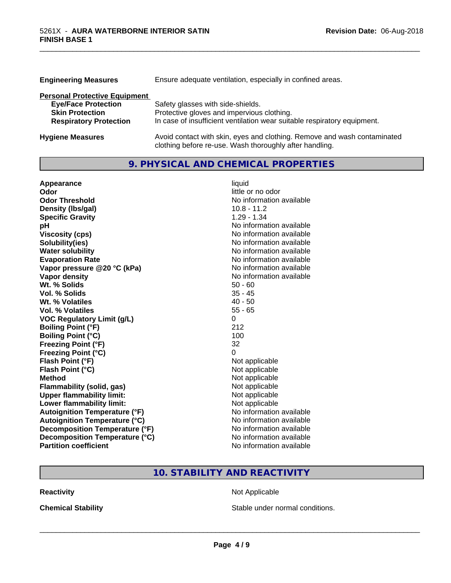| <b>Engineering Measures</b>          | Ensure adequate ventilation, especially in confined areas.               |  |  |
|--------------------------------------|--------------------------------------------------------------------------|--|--|
| <b>Personal Protective Equipment</b> |                                                                          |  |  |
| <b>Eye/Face Protection</b>           | Safety glasses with side-shields.                                        |  |  |
| <b>Skin Protection</b>               | Protective gloves and impervious clothing.                               |  |  |
| <b>Respiratory Protection</b>        | In case of insufficient ventilation wear suitable respiratory equipment. |  |  |
| <b>Hygiene Measures</b>              | Avoid contact with skin, eyes and clothing. Remove and wash contaminated |  |  |

clothing before re-use. Wash thoroughly after handling.

\_\_\_\_\_\_\_\_\_\_\_\_\_\_\_\_\_\_\_\_\_\_\_\_\_\_\_\_\_\_\_\_\_\_\_\_\_\_\_\_\_\_\_\_\_\_\_\_\_\_\_\_\_\_\_\_\_\_\_\_\_\_\_\_\_\_\_\_\_\_\_\_\_\_\_\_\_\_\_\_\_\_\_\_\_\_\_\_\_\_\_\_\_

# **9. PHYSICAL AND CHEMICAL PROPERTIES**

| Appearance                           | liquid                   |
|--------------------------------------|--------------------------|
| Odor                                 | little or no odor        |
| <b>Odor Threshold</b>                | No information available |
| Density (Ibs/gal)                    | $10.8 - 11.2$            |
| <b>Specific Gravity</b>              | $1.29 - 1.34$            |
| рH                                   | No information available |
| <b>Viscosity (cps)</b>               | No information available |
| Solubility(ies)                      | No information available |
| <b>Water solubility</b>              | No information available |
| <b>Evaporation Rate</b>              | No information available |
| Vapor pressure @20 °C (kPa)          | No information available |
| Vapor density                        | No information available |
| Wt. % Solids                         | $50 - 60$                |
| Vol. % Solids                        | $35 - 45$                |
| Wt. % Volatiles                      | $40 - 50$                |
| Vol. % Volatiles                     | $55 - 65$                |
| <b>VOC Regulatory Limit (g/L)</b>    | 0                        |
| <b>Boiling Point (°F)</b>            | 212                      |
| <b>Boiling Point (°C)</b>            | 100                      |
| <b>Freezing Point (°F)</b>           | 32                       |
| <b>Freezing Point (°C)</b>           | 0                        |
| Flash Point (°F)                     | Not applicable           |
| Flash Point (°C)                     | Not applicable           |
| <b>Method</b>                        | Not applicable           |
| <b>Flammability (solid, gas)</b>     | Not applicable           |
| <b>Upper flammability limit:</b>     | Not applicable           |
| Lower flammability limit:            | Not applicable           |
| <b>Autoignition Temperature (°F)</b> | No information available |
| <b>Autoignition Temperature (°C)</b> | No information available |
| Decomposition Temperature (°F)       | No information available |
| Decomposition Temperature (°C)       | No information available |
| <b>Partition coefficient</b>         | No information available |

# **10. STABILITY AND REACTIVITY**

**Reactivity Not Applicable** Not Applicable

**Chemical Stability Chemical Stability** Stable under normal conditions.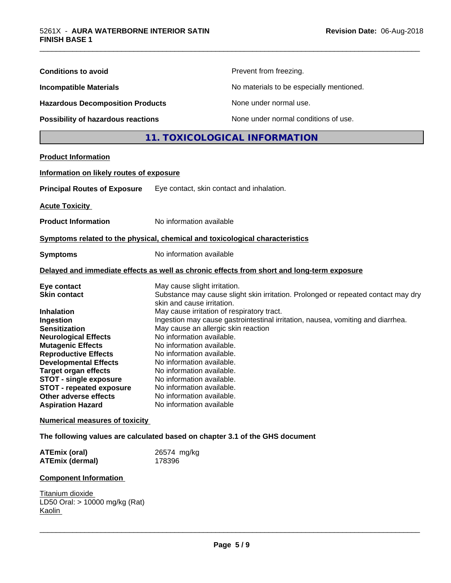| <b>Conditions to avoid</b>                                                   |                                            | Prevent from freezing.                                                                     |
|------------------------------------------------------------------------------|--------------------------------------------|--------------------------------------------------------------------------------------------|
| <b>Incompatible Materials</b>                                                |                                            | No materials to be especially mentioned.                                                   |
| <b>Hazardous Decomposition Products</b>                                      |                                            | None under normal use.                                                                     |
| Possibility of hazardous reactions                                           |                                            | None under normal conditions of use.                                                       |
|                                                                              |                                            | 11. TOXICOLOGICAL INFORMATION                                                              |
|                                                                              |                                            |                                                                                            |
| <b>Product Information</b>                                                   |                                            |                                                                                            |
| Information on likely routes of exposure                                     |                                            |                                                                                            |
| <b>Principal Routes of Exposure</b>                                          | Eye contact, skin contact and inhalation.  |                                                                                            |
| <b>Acute Toxicity</b>                                                        |                                            |                                                                                            |
| <b>Product Information</b>                                                   | No information available                   |                                                                                            |
| Symptoms related to the physical, chemical and toxicological characteristics |                                            |                                                                                            |
|                                                                              | No information available                   |                                                                                            |
| <b>Symptoms</b>                                                              |                                            |                                                                                            |
|                                                                              |                                            | Delayed and immediate effects as well as chronic effects from short and long-term exposure |
| Eye contact                                                                  | May cause slight irritation.               |                                                                                            |
| <b>Skin contact</b>                                                          |                                            | Substance may cause slight skin irritation. Prolonged or repeated contact may dry          |
|                                                                              | skin and cause irritation.                 |                                                                                            |
| <b>Inhalation</b>                                                            | May cause irritation of respiratory tract. |                                                                                            |
| Ingestion                                                                    |                                            | Ingestion may cause gastrointestinal irritation, nausea, vomiting and diarrhea.            |
| <b>Sensitization</b>                                                         | May cause an allergic skin reaction        |                                                                                            |
| <b>Neurological Effects</b>                                                  | No information available.                  |                                                                                            |
| <b>Mutagenic Effects</b>                                                     | No information available.                  |                                                                                            |
| <b>Reproductive Effects</b>                                                  | No information available.                  |                                                                                            |
| <b>Developmental Effects</b>                                                 | No information available.                  |                                                                                            |
| <b>Target organ effects</b>                                                  | No information available.                  |                                                                                            |
| <b>STOT - single exposure</b>                                                | No information available.                  |                                                                                            |
| <b>STOT - repeated exposure</b>                                              | No information available.                  |                                                                                            |
| Other adverse effects                                                        | No information available.                  |                                                                                            |
| <b>Aspiration Hazard</b>                                                     | No information available                   |                                                                                            |
| <b>Numerical measures of toxicity</b>                                        |                                            |                                                                                            |
| The following values are calculated based on chapter 3.1 of the GHS document |                                            |                                                                                            |
| <b>ATEmix (oral)</b>                                                         | 26574 mg/kg                                |                                                                                            |
| <b>ATEmix (dermal)</b>                                                       | 178396                                     |                                                                                            |
| <b>Component Information</b>                                                 |                                            |                                                                                            |
| Titanium dioxide                                                             |                                            |                                                                                            |
| LD50 Oral: > 10000 mg/kg (Rat)                                               |                                            |                                                                                            |
| Kaolin                                                                       |                                            |                                                                                            |
|                                                                              |                                            |                                                                                            |
|                                                                              |                                            |                                                                                            |

\_\_\_\_\_\_\_\_\_\_\_\_\_\_\_\_\_\_\_\_\_\_\_\_\_\_\_\_\_\_\_\_\_\_\_\_\_\_\_\_\_\_\_\_\_\_\_\_\_\_\_\_\_\_\_\_\_\_\_\_\_\_\_\_\_\_\_\_\_\_\_\_\_\_\_\_\_\_\_\_\_\_\_\_\_\_\_\_\_\_\_\_\_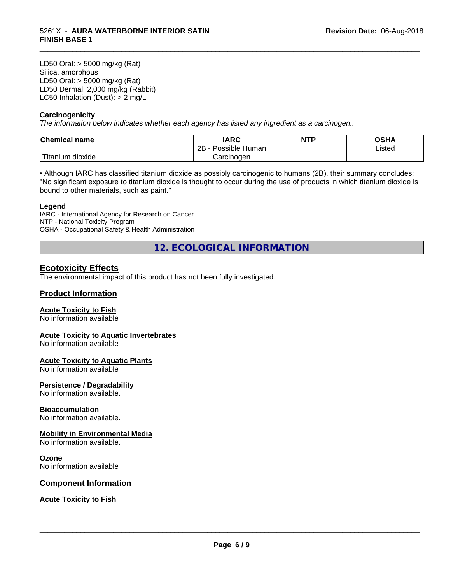LD50 Oral: > 5000 mg/kg (Rat) Silica, amorphous LD50 Oral: > 5000 mg/kg (Rat) LD50 Dermal: 2,000 mg/kg (Rabbit) LC50 Inhalation (Dust): > 2 mg/L

# **Carcinogenicity**

*The information below indicateswhether each agency has listed any ingredient as a carcinogen:.*

| Chemical<br>name                 | <b>IARC</b>                      | <b>NTP</b> | ດເ⊔າ<br>JJNF |
|----------------------------------|----------------------------------|------------|--------------|
|                                  | . .<br>2B<br>: Human<br>Possible |            | Listed       |
| .<br>, dioxide<br><b>itanium</b> | Carcinoɑen                       |            |              |

\_\_\_\_\_\_\_\_\_\_\_\_\_\_\_\_\_\_\_\_\_\_\_\_\_\_\_\_\_\_\_\_\_\_\_\_\_\_\_\_\_\_\_\_\_\_\_\_\_\_\_\_\_\_\_\_\_\_\_\_\_\_\_\_\_\_\_\_\_\_\_\_\_\_\_\_\_\_\_\_\_\_\_\_\_\_\_\_\_\_\_\_\_

• Although IARC has classified titanium dioxide as possibly carcinogenic to humans (2B), their summary concludes: "No significant exposure to titanium dioxide is thought to occur during the use of products in which titanium dioxide is bound to other materials, such as paint."

### **Legend**

IARC - International Agency for Research on Cancer NTP - National Toxicity Program OSHA - Occupational Safety & Health Administration

**12. ECOLOGICAL INFORMATION**

# **Ecotoxicity Effects**

The environmental impact of this product has not been fully investigated.

# **Product Information**

# **Acute Toxicity to Fish**

No information available

# **Acute Toxicity to Aquatic Invertebrates**

No information available

#### **Acute Toxicity to Aquatic Plants**

No information available

#### **Persistence / Degradability**

No information available.

# **Bioaccumulation**

No information available.

# **Mobility in Environmental Media**

No information available.

#### **Ozone**

No information available

# **Component Information**

**Acute Toxicity to Fish**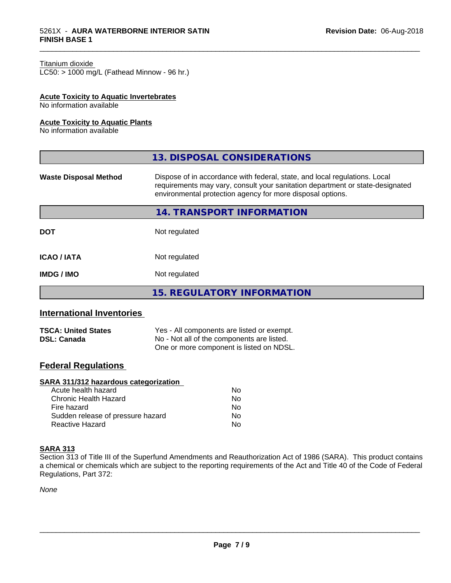#### Titanium dioxide

 $LC50:$  > 1000 mg/L (Fathead Minnow - 96 hr.)

# **Acute Toxicity to Aquatic Invertebrates**

No information available

# **Acute Toxicity to Aquatic Plants**

No information available

|                              | 13. DISPOSAL CONSIDERATIONS                                                                                                                                                                                               |
|------------------------------|---------------------------------------------------------------------------------------------------------------------------------------------------------------------------------------------------------------------------|
| <b>Waste Disposal Method</b> | Dispose of in accordance with federal, state, and local regulations. Local<br>requirements may vary, consult your sanitation department or state-designated<br>environmental protection agency for more disposal options. |
|                              | 14. TRANSPORT INFORMATION                                                                                                                                                                                                 |
| <b>DOT</b>                   | Not regulated                                                                                                                                                                                                             |
| <b>ICAO / IATA</b>           | Not regulated                                                                                                                                                                                                             |
| <b>IMDG / IMO</b>            | Not regulated                                                                                                                                                                                                             |
|                              | <b>15. REGULATORY INFORMATION</b>                                                                                                                                                                                         |

\_\_\_\_\_\_\_\_\_\_\_\_\_\_\_\_\_\_\_\_\_\_\_\_\_\_\_\_\_\_\_\_\_\_\_\_\_\_\_\_\_\_\_\_\_\_\_\_\_\_\_\_\_\_\_\_\_\_\_\_\_\_\_\_\_\_\_\_\_\_\_\_\_\_\_\_\_\_\_\_\_\_\_\_\_\_\_\_\_\_\_\_\_

# **International Inventories**

| <b>TSCA: United States</b> | Yes - All components are listed or exempt. |  |
|----------------------------|--------------------------------------------|--|
| <b>DSL: Canada</b>         | No - Not all of the components are listed. |  |
|                            | One or more component is listed on NDSL.   |  |

# **Federal Regulations**

# **SARA 311/312 hazardous categorization**

| Acute health hazard               | Nο |  |
|-----------------------------------|----|--|
| Chronic Health Hazard             | Nο |  |
| Fire hazard                       | Nο |  |
| Sudden release of pressure hazard | Nο |  |
| Reactive Hazard                   | N٥ |  |

# **SARA 313**

Section 313 of Title III of the Superfund Amendments and Reauthorization Act of 1986 (SARA). This product contains a chemical or chemicals which are subject to the reporting requirements of the Act and Title 40 of the Code of Federal Regulations, Part 372:

*None*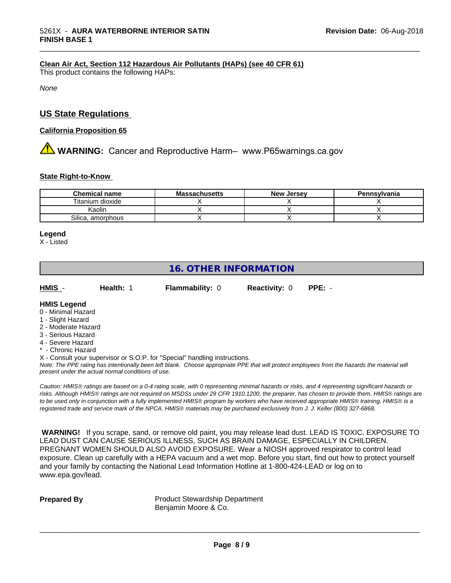# **Clean Air Act,Section 112 Hazardous Air Pollutants (HAPs) (see 40 CFR 61)**

This product contains the following HAPs:

*None*

# **US State Regulations**

## **California Proposition 65**

# **AVIMARNING:** Cancer and Reproductive Harm– www.P65warnings.ca.gov

#### **State Right-to-Know**

| <b>Chemical name</b>   | <b>Massachusetts</b> | <b>New Jersey</b> | Pennsvlvania |
|------------------------|----------------------|-------------------|--------------|
| Titanium dioxide       |                      |                   |              |
| Kaolin                 |                      |                   |              |
| Silica.<br>, amorphous |                      |                   |              |

\_\_\_\_\_\_\_\_\_\_\_\_\_\_\_\_\_\_\_\_\_\_\_\_\_\_\_\_\_\_\_\_\_\_\_\_\_\_\_\_\_\_\_\_\_\_\_\_\_\_\_\_\_\_\_\_\_\_\_\_\_\_\_\_\_\_\_\_\_\_\_\_\_\_\_\_\_\_\_\_\_\_\_\_\_\_\_\_\_\_\_\_\_

#### **Legend**

X - Listed

# **16. OTHER INFORMATION**

| HMIS | Health: 1 | <b>Flammability: 0</b> | <b>Reactivity: 0</b> | PPE: - |
|------|-----------|------------------------|----------------------|--------|
|      |           |                        |                      |        |

# **HMIS Legend**

- 0 Minimal Hazard
- 1 Slight Hazard
- 2 Moderate Hazard
- 3 Serious Hazard
- 4 Severe Hazard
- Chronic Hazard
- X Consult your supervisor or S.O.P. for "Special" handling instructions.

*Note: The PPE rating has intentionally been left blank. Choose appropriate PPE that will protect employees from the hazards the material will present under the actual normal conditions of use.*

*Caution: HMISÒ ratings are based on a 0-4 rating scale, with 0 representing minimal hazards or risks, and 4 representing significant hazards or risks. Although HMISÒ ratings are not required on MSDSs under 29 CFR 1910.1200, the preparer, has chosen to provide them. HMISÒ ratings are to be used only in conjunction with a fully implemented HMISÒ program by workers who have received appropriate HMISÒ training. HMISÒ is a registered trade and service mark of the NPCA. HMISÒ materials may be purchased exclusively from J. J. Keller (800) 327-6868.*

 **WARNING!** If you scrape, sand, or remove old paint, you may release lead dust. LEAD IS TOXIC. EXPOSURE TO LEAD DUST CAN CAUSE SERIOUS ILLNESS, SUCH AS BRAIN DAMAGE, ESPECIALLY IN CHILDREN. PREGNANT WOMEN SHOULD ALSO AVOID EXPOSURE. Wear a NIOSH approved respirator to control lead exposure. Clean up carefully with a HEPA vacuum and a wet mop. Before you start, find out how to protect yourself and your family by contacting the National Lead Information Hotline at 1-800-424-LEAD or log on to www.epa.gov/lead.

**Prepared By** Product Stewardship Department Benjamin Moore & Co.